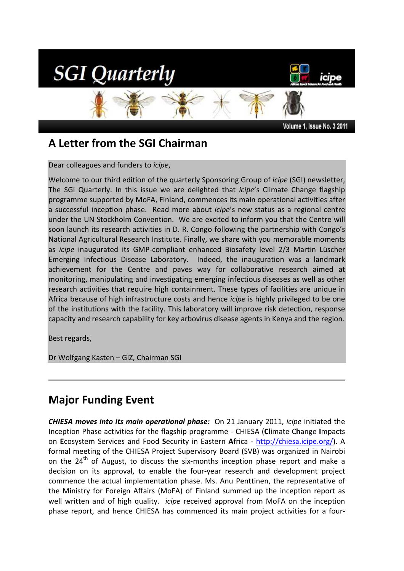

# **A Letter from the SGI Chairman**

Dear colleagues and funders to *icipe*,

Welcome to our third edition of the quarterly Sponsoring Group of *icipe* (SGI) newsletter, The SGI Quarterly. In this issue we are delighted that *icipe*'s Climate Change flagship programme supported by MoFA, Finland, commences its main operational activities after a successful inception phase. Read more about *icipe*'s new status as a regional centre under the UN Stockholm Convention. We are excited to inform you that the Centre will soon launch its research activities in D. R. Congo following the partnership with Congo's National Agricultural Research Institute. Finally, we share with you memorable moments as *icipe* inaugurated its GMP-compliant enhanced Biosafety level 2/3 Martin Lüscher Emerging Infectious Disease Laboratory. Indeed, the inauguration was a landmark achievement for the Centre and paves way for collaborative research aimed at monitoring, manipulating and investigating emerging infectious diseases as well as other research activities that require high containment. These types of facilities are unique in Africa because of high infrastructure costs and hence *icipe* is highly privileged to be one of the institutions with the facility. This laboratory will improve risk detection, response capacity and research capability for key arbovirus disease agents in Kenya and the region.

Best regards,

Dr Wolfgang Kasten – GIZ, Chairman SGI

## **Major Funding Event**

*CHIESA moves into its main operational phase:* On 21 January 2011, *icipe* initiated the Inception Phase activities for the flagship programme - CHIESA (**C**limate C**h**ange **I**mpacts on **E**cosystem Services and Food **S**ecurity in Eastern **A**frica - http://chiesa.icipe.org/). A formal meeting of the CHIESA Project Supervisory Board (SVB) was organized in Nairobi on the  $24<sup>th</sup>$  of August, to discuss the six-months inception phase report and make a decision on its approval, to enable the four-year research and development project commence the actual implementation phase. Ms. Anu Penttinen, the representative of the Ministry for Foreign Affairs (MoFA) of Finland summed up the inception report as well written and of high quality. *icipe* received approval from MoFA on the inception phase report, and hence CHIESA has commenced its main project activities for a four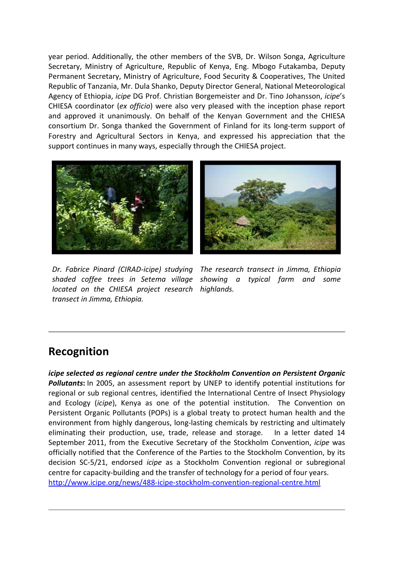year period. Additionally, the other members of the SVB, Dr. Wilson Songa, Agriculture Secretary, Ministry of Agriculture, Republic of Kenya, Eng. Mbogo Futakamba, Deputy Permanent Secretary, Ministry of Agriculture, Food Security & Cooperatives, The United Republic of Tanzania, Mr. Dula Shanko, Deputy Director General, National Meteorological Agency of Ethiopia, *icipe* DG Prof. Christian Borgemeister and Dr. Tino Johansson, *icipe*'s CHIESA coordinator (*ex officio*) were also very pleased with the inception phase report and approved it unanimously. On behalf of the Kenyan Government and the CHIESA consortium Dr. Songa thanked the Government of Finland for its long-term support of Forestry and Agricultural Sectors in Kenya, and expressed his appreciation that the support continues in many ways, especially through the CHIESA project.





*located on the CHIESA project research highlands. transect in Jimma, Ethiopia.* 

*Dr. Fabrice Pinard (CIRAD-icipe) studying The research transect in Jimma, Ethiopia shaded coffee trees in Setema village showing a typical farm and some* 

#### **Recognition**

*icipe selected as regional centre under the Stockholm Convention on Persistent Organic Pollutants***:** In 2005, an assessment report by UNEP to identify potential institutions for regional or sub regional centres, identified the International Centre of Insect Physiology and Ecology (*icipe*), Kenya as one of the potential institution. The Convention on Persistent Organic Pollutants (POPs) is a global treaty to protect human health and the environment from highly dangerous, long-lasting chemicals by restricting and ultimately eliminating their production, use, trade, release and storage. In a letter dated 14 September 2011, from the Executive Secretary of the Stockholm Convention, *icipe* was officially notified that the Conference of the Parties to the Stockholm Convention, by its decision SC-5/21, endorsed *icipe* as a Stockholm Convention regional or subregional centre for capacity-building and the transfer of technology for a period of four years. http://www.icipe.org/news/488-icipe-stockholm-convention-regional-centre.html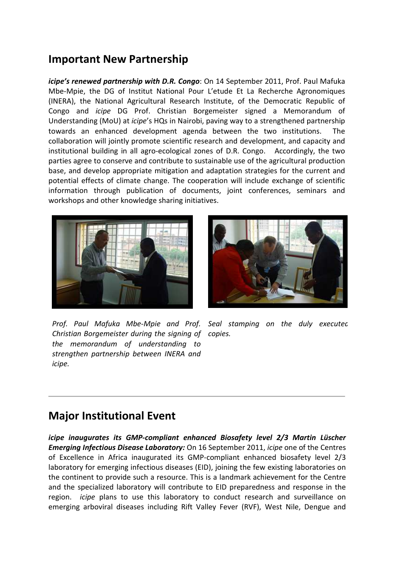#### **Important New Partnership**

*icipe's renewed partnership with D.R. Congo*: On 14 September 2011, Prof. Paul Mafuka Mbe-Mpie, the DG of Institut National Pour L'etude Et La Recherche Agronomiques (INERA), the National Agricultural Research Institute, of the Democratic Republic of Congo and *icipe* DG Prof. Christian Borgemeister signed a Memorandum of Understanding (MoU) at *icipe*'s HQs in Nairobi, paving way to a strengthened partnership towards an enhanced development agenda between the two institutions. The collaboration will jointly promote scientific research and development, and capacity and institutional building in all agro-ecological zones of D.R. Congo. Accordingly, the two parties agree to conserve and contribute to sustainable use of the agricultural production base, and develop appropriate mitigation and adaptation strategies for the current and potential effects of climate change. The cooperation will include exchange of scientific information through publication of documents, joint conferences, seminars and workshops and other knowledge sharing initiatives.





*Prof. Paul Mafuka Mbe-Mpie and Prof. Seal stamping on the duly executed Christian Borgemeister during the signing of copies. the memorandum of understanding to strengthen partnership between INERA and icipe.*

#### **Major Institutional Event**

*icipe inaugurates its GMP-compliant enhanced Biosafety level 2/3 Martin Lüscher Emerging Infectious Disease Laboratory:* On 16 September 2011, *icipe* one of the Centres of Excellence in Africa inaugurated its GMP-compliant enhanced biosafety level 2/3 laboratory for emerging infectious diseases (EID), joining the few existing laboratories on the continent to provide such a resource. This is a landmark achievement for the Centre and the specialized laboratory will contribute to EID preparedness and response in the region. *icipe* plans to use this laboratory to conduct research and surveillance on emerging arboviral diseases including Rift Valley Fever (RVF), West Nile, Dengue and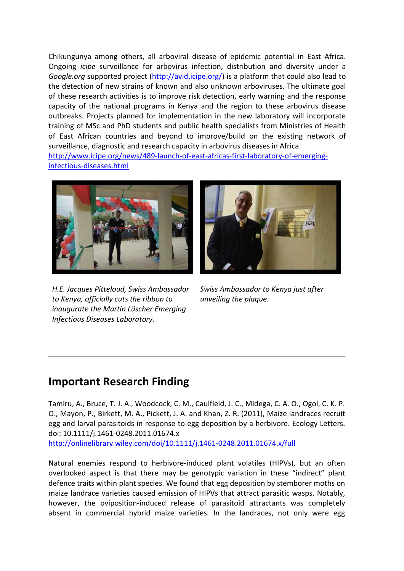Chikungunya among others, all arboviral disease of epidemic potential in East Africa. Ongoing *icipe* surveillance for arbovirus infection, distribution and diversity under a *Google.org* supported project (http://avid.icipe.org/) is a platform that could also lead to the detection of new strains of known and also unknown arboviruses. The ultimate goal of these research activities is to improve risk detection, early warning and the response capacity of the national programs in Kenya and the region to these arbovirus disease outbreaks. Projects planned for implementation in the new laboratory will incorporate training of MSc and PhD students and public health specialists from Ministries of Health of East African countries and beyond to improve/build on the existing network of surveillance, diagnostic and research capacity in arbovirus diseases in Africa. http://www.icipe.org/news/489-launch-of-east-africas-first-laboratory-of-emerging-

infectious-diseases.html



*H.E. Jacques Pitteloud, Swiss Ambassador to Kenya, officially cuts the ribbon to inaugurate the Martin Lüscher Emerging Infectious Diseases Laboratory.*



*Swiss Ambassador to Kenya just after unveiling the plaque.*

## **Important Research Finding**

Tamiru, A., Bruce, T. J. A., Woodcock, C. M., Caulfield, J. C., Midega, C. A. O., Ogol, C. K. P. O., Mayon, P., Birkett, M. A., Pickett, J. A. and Khan, Z. R. (2011), Maize landraces recruit egg and larval parasitoids in response to egg deposition by a herbivore. Ecology Letters. doi: 10.1111/j.1461-0248.2011.01674.x http://onlinelibrary.wiley.com/doi/10.1111/j.1461-0248.2011.01674.x/full

Natural enemies respond to herbivore-induced plant volatiles (HIPVs), but an often overlooked aspect is that there may be genotypic variation in these "indirect" plant defence traits within plant species. We found that egg deposition by stemborer moths on maize landrace varieties caused emission of HIPVs that attract parasitic wasps. Notably, however, the oviposition-induced release of parasitoid attractants was completely absent in commercial hybrid maize varieties. In the landraces, not only were egg